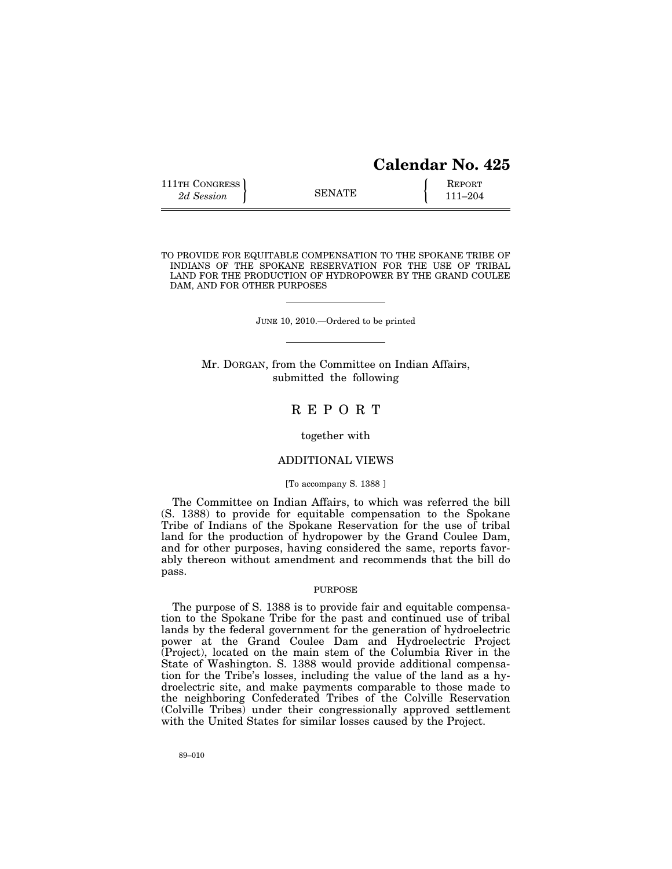| 111TH CONGRESS |               | <b>REPORT</b> |
|----------------|---------------|---------------|
| 2d Session     | <b>SENATE</b> | 111–204       |

TO PROVIDE FOR EQUITABLE COMPENSATION TO THE SPOKANE TRIBE OF INDIANS OF THE SPOKANE RESERVATION FOR THE USE OF TRIBAL LAND FOR THE PRODUCTION OF HYDROPOWER BY THE GRAND COULEE DAM, AND FOR OTHER PURPOSES

JUNE 10, 2010.—Ordered to be printed

Mr. DORGAN, from the Committee on Indian Affairs, submitted the following

# R E P O R T

together with

#### ADDITIONAL VIEWS

# [To accompany S. 1388 ]

The Committee on Indian Affairs, to which was referred the bill (S. 1388) to provide for equitable compensation to the Spokane Tribe of Indians of the Spokane Reservation for the use of tribal land for the production of hydropower by the Grand Coulee Dam, and for other purposes, having considered the same, reports favorably thereon without amendment and recommends that the bill do pass.

# PURPOSE

The purpose of S. 1388 is to provide fair and equitable compensation to the Spokane Tribe for the past and continued use of tribal lands by the federal government for the generation of hydroelectric power at the Grand Coulee Dam and Hydroelectric Project (Project), located on the main stem of the Columbia River in the State of Washington. S. 1388 would provide additional compensation for the Tribe's losses, including the value of the land as a hydroelectric site, and make payments comparable to those made to the neighboring Confederated Tribes of the Colville Reservation (Colville Tribes) under their congressionally approved settlement with the United States for similar losses caused by the Project.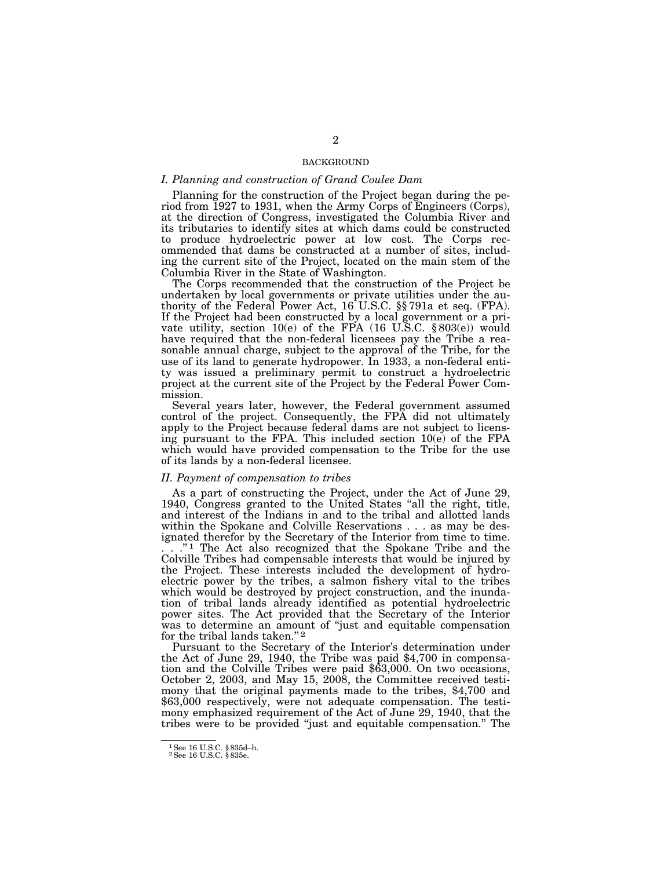# BACKGROUND

### *I. Planning and construction of Grand Coulee Dam*

Planning for the construction of the Project began during the period from 1927 to 1931, when the Army Corps of Engineers (Corps), at the direction of Congress, investigated the Columbia River and its tributaries to identify sites at which dams could be constructed to produce hydroelectric power at low cost. The Corps recommended that dams be constructed at a number of sites, including the current site of the Project, located on the main stem of the Columbia River in the State of Washington.

The Corps recommended that the construction of the Project be undertaken by local governments or private utilities under the authority of the Federal Power Act, 16 U.S.C. §§ 791a et seq. (FPA). If the Project had been constructed by a local government or a private utility, section 10(e) of the FPA  $(16 \text{ U.S.C. } §803(e))$  would have required that the non-federal licensees pay the Tribe a reasonable annual charge, subject to the approval of the Tribe, for the use of its land to generate hydropower. In 1933, a non-federal entity was issued a preliminary permit to construct a hydroelectric project at the current site of the Project by the Federal Power Commission.

Several years later, however, the Federal government assumed control of the project. Consequently, the FPA did not ultimately apply to the Project because federal dams are not subject to licensing pursuant to the FPA. This included section 10(e) of the FPA which would have provided compensation to the Tribe for the use of its lands by a non-federal licensee.

#### *II. Payment of compensation to tribes*

As a part of constructing the Project, under the Act of June 29, 1940, Congress granted to the United States "all the right, title, and interest of the Indians in and to the tribal and allotted lands within the Spokane and Colville Reservations . . . as may be designated therefor by the Secretary of the Interior from time to time. ."<sup>1</sup> The Act also recognized that the Spokane Tribe and the Colville Tribes had compensable interests that would be injured by the Project. These interests included the development of hydroelectric power by the tribes, a salmon fishery vital to the tribes which would be destroyed by project construction, and the inundation of tribal lands already identified as potential hydroelectric power sites. The Act provided that the Secretary of the Interior was to determine an amount of "just and equitable compensation for the tribal lands taken." $2$ 

Pursuant to the Secretary of the Interior's determination under the Act of June 29, 1940, the Tribe was paid \$4,700 in compensation and the Colville Tribes were paid \$63,000. On two occasions, October 2, 2003, and May 15, 2008, the Committee received testimony that the original payments made to the tribes, \$4,700 and \$63,000 respectively, were not adequate compensation. The testimony emphasized requirement of the Act of June 29, 1940, that the tribes were to be provided ''just and equitable compensation.'' The

<sup>1</sup>See 16 U.S.C. § 835d–h. 2See 16 U.S.C. § 835e.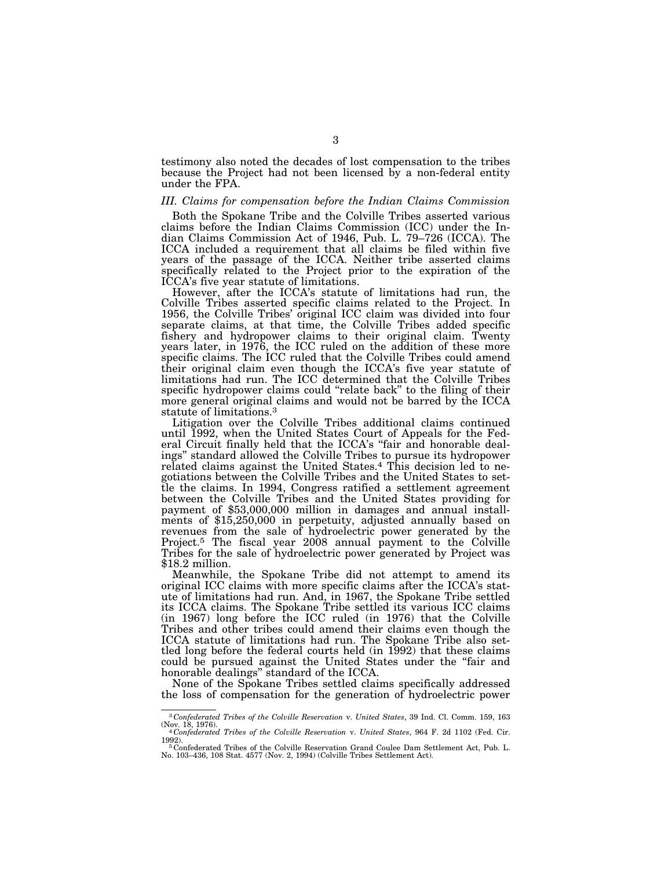testimony also noted the decades of lost compensation to the tribes because the Project had not been licensed by a non-federal entity under the FPA.

#### *III. Claims for compensation before the Indian Claims Commission*

Both the Spokane Tribe and the Colville Tribes asserted various claims before the Indian Claims Commission (ICC) under the Indian Claims Commission Act of 1946, Pub. L. 79–726 (ICCA). The ICCA included a requirement that all claims be filed within five years of the passage of the ICCA. Neither tribe asserted claims specifically related to the Project prior to the expiration of the ICCA's five year statute of limitations.

However, after the ICCA's statute of limitations had run, the Colville Tribes asserted specific claims related to the Project. In 1956, the Colville Tribes' original ICC claim was divided into four separate claims, at that time, the Colville Tribes added specific fishery and hydropower claims to their original claim. Twenty years later, in 1976, the ICC ruled on the addition of these more specific claims. The ICC ruled that the Colville Tribes could amend their original claim even though the ICCA's five year statute of limitations had run. The ICC determined that the Colville Tribes specific hydropower claims could "relate back" to the filing of their more general original claims and would not be barred by the ICCA statute of limitations.<sup>3</sup>

Litigation over the Colville Tribes additional claims continued until 1992, when the United States Court of Appeals for the Federal Circuit finally held that the ICCA's ''fair and honorable dealings'' standard allowed the Colville Tribes to pursue its hydropower related claims against the United States.<sup>4</sup> This decision led to negotiations between the Colville Tribes and the United States to settle the claims. In 1994, Congress ratified a settlement agreement between the Colville Tribes and the United States providing for payment of \$53,000,000 million in damages and annual installments of \$15,250,000 in perpetuity, adjusted annually based on revenues from the sale of hydroelectric power generated by the Project.<sup>5</sup> The fiscal year 2008 annual payment to the Colville Tribes for the sale of hydroelectric power generated by Project was \$18.2 million.

Meanwhile, the Spokane Tribe did not attempt to amend its original ICC claims with more specific claims after the ICCA's statute of limitations had run. And, in 1967, the Spokane Tribe settled its ICCA claims. The Spokane Tribe settled its various ICC claims (in 1967) long before the ICC ruled (in 1976) that the Colville Tribes and other tribes could amend their claims even though the ICCA statute of limitations had run. The Spokane Tribe also settled long before the federal courts held (in 1992) that these claims could be pursued against the United States under the ''fair and honorable dealings'' standard of the ICCA.

None of the Spokane Tribes settled claims specifically addressed the loss of compensation for the generation of hydroelectric power

 $^{3}$ Confederated Tribes of the Colville Reservation v. United States, 39 Ind. Cl. Comm. 159, 163 (Nov. 18, 1976).<br>  $^{4}$ Confederated Tribes of the Colville Reservation v. United States, 964 F. 2d 1102 (Fed. Cir.

<sup>1992).&</sup>lt;br>『Confederated Tribes of the Colville Reservation Grand Coulee Dam Settlement Act, Pub. L.<br>No. 103–436, 108 Stat. 4577 (Nov. 2, 1994) (Colville Tribes Settlement Act).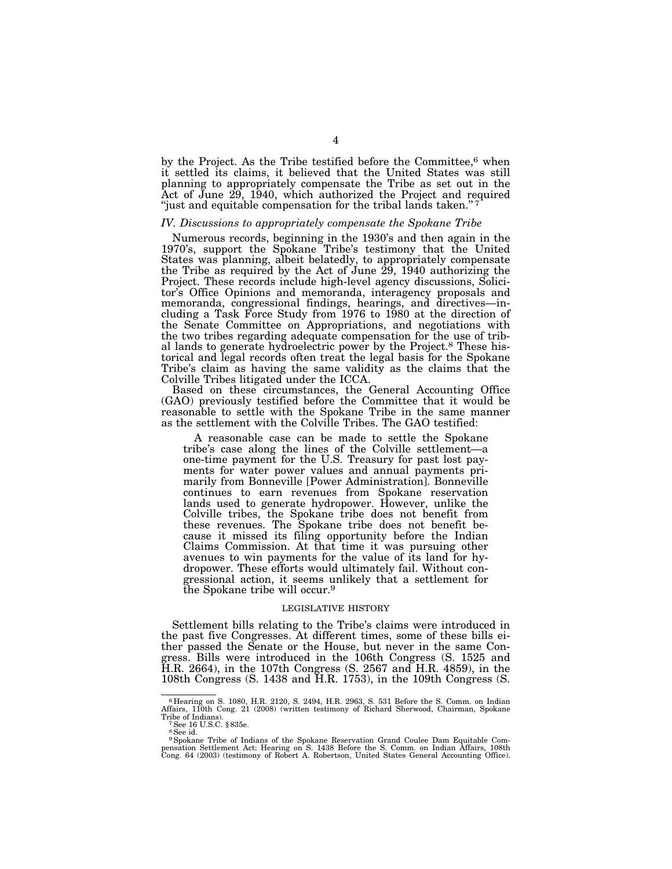by the Project. As the Tribe testified before the Committee,<sup>6</sup> when it settled its claims, it believed that the United States was still planning to appropriately compensate the Tribe as set out in the Act of June 29, 1940, which authorized the Project and required "just and equitable compensation for the tribal lands taken."<sup>7</sup>

#### *IV. Discussions to appropriately compensate the Spokane Tribe*

Numerous records, beginning in the 1930's and then again in the 1970's, support the Spokane Tribe's testimony that the United States was planning, albeit belatedly, to appropriately compensate the Tribe as required by the Act of June 29, 1940 authorizing the Project. These records include high-level agency discussions, Solicitor's Office Opinions and memoranda, interagency proposals and memoranda, congressional findings, hearings, and directives—including a Task Force Study from 1976 to 1980 at the direction of the Senate Committee on Appropriations, and negotiations with the two tribes regarding adequate compensation for the use of tribal lands to generate hydroelectric power by the Project.8 These historical and legal records often treat the legal basis for the Spokane Tribe's claim as having the same validity as the claims that the Colville Tribes litigated under the ICCA.

Based on these circumstances, the General Accounting Office (GAO) previously testified before the Committee that it would be reasonable to settle with the Spokane Tribe in the same manner as the settlement with the Colville Tribes. The GAO testified:

A reasonable case can be made to settle the Spokane tribe's case along the lines of the Colville settlement—a one-time payment for the U.S. Treasury for past lost payments for water power values and annual payments primarily from Bonneville [Power Administration]. Bonneville continues to earn revenues from Spokane reservation lands used to generate hydropower. However, unlike the Colville tribes, the Spokane tribe does not benefit from these revenues. The Spokane tribe does not benefit because it missed its filing opportunity before the Indian Claims Commission. At that time it was pursuing other avenues to win payments for the value of its land for hydropower. These efforts would ultimately fail. Without congressional action, it seems unlikely that a settlement for the Spokane tribe will occur.9

#### LEGISLATIVE HISTORY

Settlement bills relating to the Tribe's claims were introduced in the past five Congresses. At different times, some of these bills either passed the Senate or the House, but never in the same Congress. Bills were introduced in the 106th Congress (S. 1525 and H.R. 2664), in the 107th Congress (S. 2567 and H.R. 4859), in the 108th Congress (S. 1438 and H.R. 1753), in the 109th Congress (S.

<sup>6</sup> Hearing on S. 1080, H.R. 2120, S. 2494, H.R. 2963, S. 531 Before the S. Comm. on Indian Affairs, 110th Cong. 21 (2008) (written testimony of Richard Sherwood, Chairman, Spokane Tribe of Indians).<br> $7$  See 16 U.S.C. § 835e.

<sup>8</sup>See id.

<sup>&</sup>lt;sup>9</sup> Spokane Tribe of Indians of the Spokane Reservation Grand Coulee Dam Equitable Compensation Settlement Act: Hearing on S. 1438 Before the S. Comm. on Indian Affairs, 108th Cong. 64 (2003) (testimony of Robert A. Robert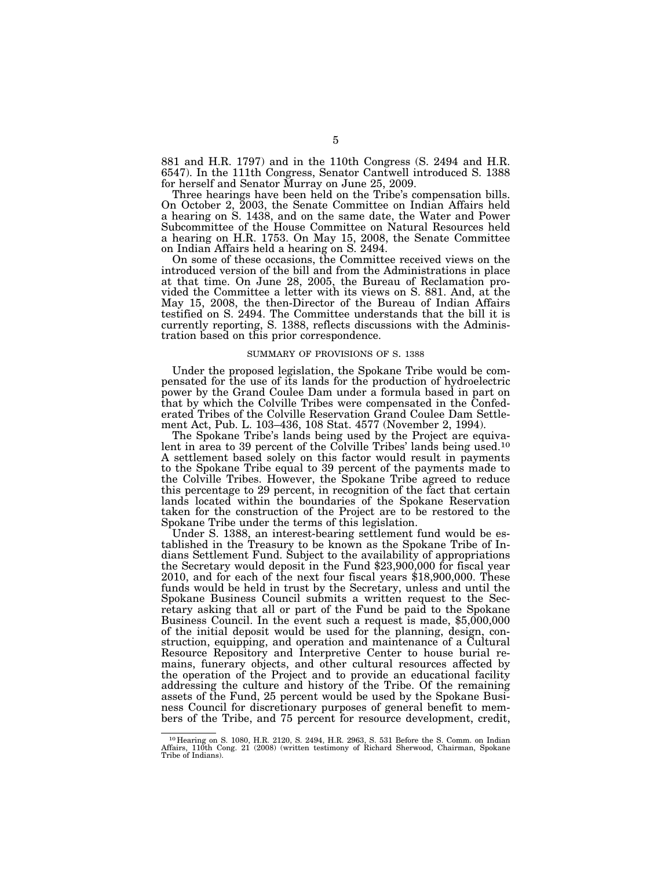881 and H.R. 1797) and in the 110th Congress (S. 2494 and H.R. 6547). In the 111th Congress, Senator Cantwell introduced S. 1388 for herself and Senator Murray on June 25, 2009.

Three hearings have been held on the Tribe's compensation bills. On October 2, 2003, the Senate Committee on Indian Affairs held a hearing on S. 1438, and on the same date, the Water and Power Subcommittee of the House Committee on Natural Resources held a hearing on H.R. 1753. On May 15, 2008, the Senate Committee on Indian Affairs held a hearing on S. 2494.

On some of these occasions, the Committee received views on the introduced version of the bill and from the Administrations in place at that time. On June 28, 2005, the Bureau of Reclamation provided the Committee a letter with its views on S. 881. And, at the May 15, 2008, the then-Director of the Bureau of Indian Affairs testified on S. 2494. The Committee understands that the bill it is currently reporting, S. 1388, reflects discussions with the Administration based on this prior correspondence.

#### SUMMARY OF PROVISIONS OF S. 1388

Under the proposed legislation, the Spokane Tribe would be compensated for the use of its lands for the production of hydroelectric power by the Grand Coulee Dam under a formula based in part on that by which the Colville Tribes were compensated in the Confederated Tribes of the Colville Reservation Grand Coulee Dam Settlement Act, Pub. L. 103–436, 108 Stat. 4577 (November 2, 1994).

The Spokane Tribe's lands being used by the Project are equivalent in area to 39 percent of the Colville Tribes' lands being used.<sup>10</sup> A settlement based solely on this factor would result in payments to the Spokane Tribe equal to 39 percent of the payments made to the Colville Tribes. However, the Spokane Tribe agreed to reduce this percentage to 29 percent, in recognition of the fact that certain lands located within the boundaries of the Spokane Reservation taken for the construction of the Project are to be restored to the Spokane Tribe under the terms of this legislation.

Under S. 1388, an interest-bearing settlement fund would be established in the Treasury to be known as the Spokane Tribe of Indians Settlement Fund. Subject to the availability of appropriations the Secretary would deposit in the Fund \$23,900,000 for fiscal year 2010, and for each of the next four fiscal years \$18,900,000. These funds would be held in trust by the Secretary, unless and until the Spokane Business Council submits a written request to the Secretary asking that all or part of the Fund be paid to the Spokane Business Council. In the event such a request is made, \$5,000,000 of the initial deposit would be used for the planning, design, construction, equipping, and operation and maintenance of a Cultural Resource Repository and Interpretive Center to house burial remains, funerary objects, and other cultural resources affected by the operation of the Project and to provide an educational facility addressing the culture and history of the Tribe. Of the remaining assets of the Fund, 25 percent would be used by the Spokane Business Council for discretionary purposes of general benefit to members of the Tribe, and 75 percent for resource development, credit,

<sup>10</sup> Hearing on S. 1080, H.R. 2120, S. 2494, H.R. 2963, S. 531 Before the S. Comm. on Indian Affairs, 110th Cong. 21 (2008) (written testimony of Richard Sherwood, Chairman, Spokane Tribe of Indians).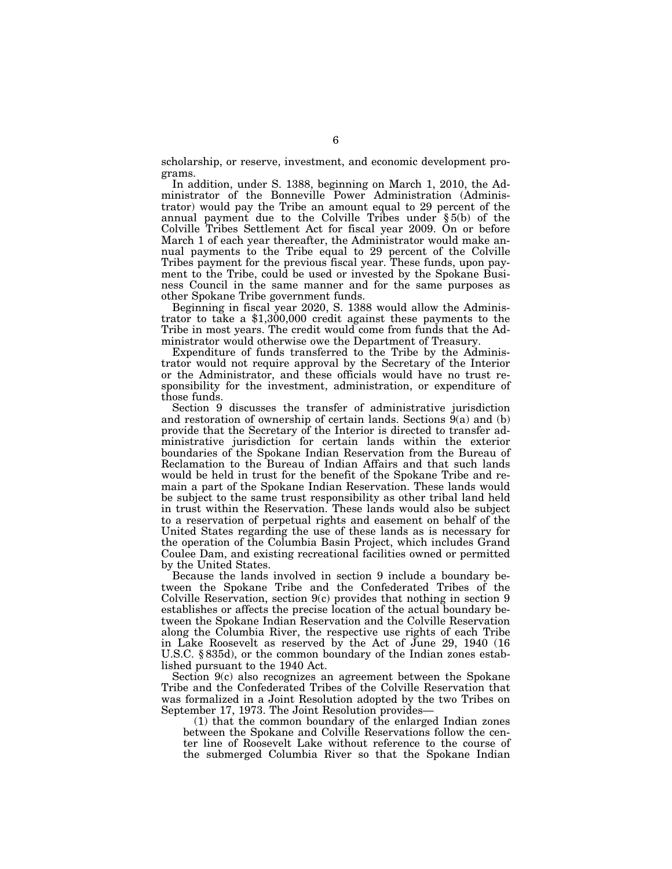scholarship, or reserve, investment, and economic development programs.

In addition, under S. 1388, beginning on March 1, 2010, the Administrator of the Bonneville Power Administration (Administrator) would pay the Tribe an amount equal to 29 percent of the annual payment due to the Colville Tribes under § 5(b) of the Colville Tribes Settlement Act for fiscal year 2009. On or before March 1 of each year thereafter, the Administrator would make annual payments to the Tribe equal to 29 percent of the Colville Tribes payment for the previous fiscal year. These funds, upon payment to the Tribe, could be used or invested by the Spokane Business Council in the same manner and for the same purposes as other Spokane Tribe government funds.

Beginning in fiscal year 2020, S. 1388 would allow the Administrator to take a \$1,300,000 credit against these payments to the Tribe in most years. The credit would come from funds that the Administrator would otherwise owe the Department of Treasury.

Expenditure of funds transferred to the Tribe by the Administrator would not require approval by the Secretary of the Interior or the Administrator, and these officials would have no trust responsibility for the investment, administration, or expenditure of those funds.

Section 9 discusses the transfer of administrative jurisdiction and restoration of ownership of certain lands. Sections 9(a) and (b) provide that the Secretary of the Interior is directed to transfer administrative jurisdiction for certain lands within the exterior boundaries of the Spokane Indian Reservation from the Bureau of Reclamation to the Bureau of Indian Affairs and that such lands would be held in trust for the benefit of the Spokane Tribe and remain a part of the Spokane Indian Reservation. These lands would be subject to the same trust responsibility as other tribal land held in trust within the Reservation. These lands would also be subject to a reservation of perpetual rights and easement on behalf of the United States regarding the use of these lands as is necessary for the operation of the Columbia Basin Project, which includes Grand Coulee Dam, and existing recreational facilities owned or permitted by the United States.

Because the lands involved in section 9 include a boundary between the Spokane Tribe and the Confederated Tribes of the Colville Reservation, section 9(c) provides that nothing in section 9 establishes or affects the precise location of the actual boundary between the Spokane Indian Reservation and the Colville Reservation along the Columbia River, the respective use rights of each Tribe in Lake Roosevelt as reserved by the Act of June 29, 1940 (16 U.S.C. § 835d), or the common boundary of the Indian zones established pursuant to the 1940 Act.

Section 9(c) also recognizes an agreement between the Spokane Tribe and the Confederated Tribes of the Colville Reservation that was formalized in a Joint Resolution adopted by the two Tribes on September 17, 1973. The Joint Resolution provides—

(1) that the common boundary of the enlarged Indian zones between the Spokane and Colville Reservations follow the center line of Roosevelt Lake without reference to the course of the submerged Columbia River so that the Spokane Indian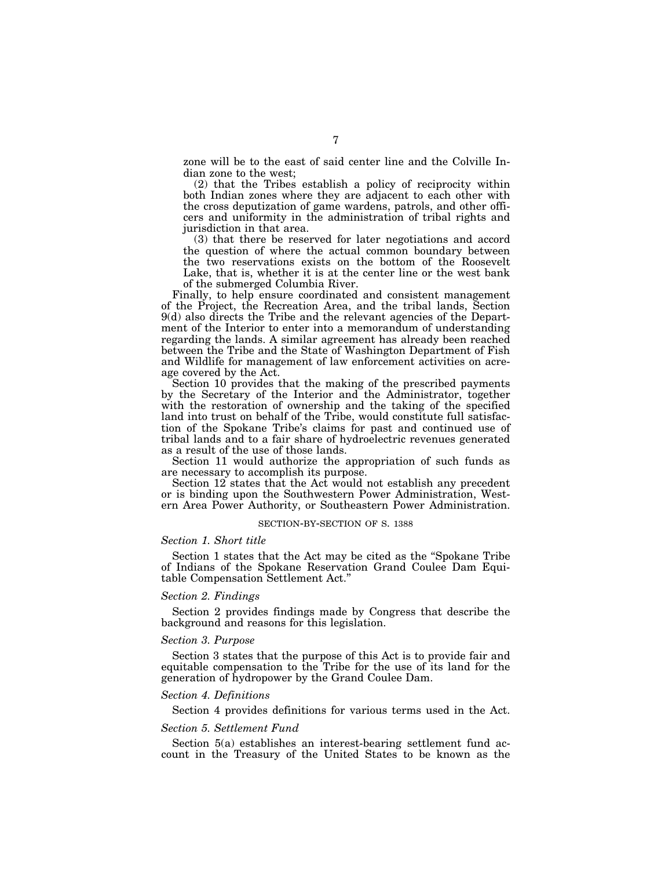zone will be to the east of said center line and the Colville Indian zone to the west;

(2) that the Tribes establish a policy of reciprocity within both Indian zones where they are adjacent to each other with the cross deputization of game wardens, patrols, and other officers and uniformity in the administration of tribal rights and jurisdiction in that area.

(3) that there be reserved for later negotiations and accord the question of where the actual common boundary between the two reservations exists on the bottom of the Roosevelt Lake, that is, whether it is at the center line or the west bank of the submerged Columbia River.

Finally, to help ensure coordinated and consistent management of the Project, the Recreation Area, and the tribal lands, Section 9(d) also directs the Tribe and the relevant agencies of the Department of the Interior to enter into a memorandum of understanding regarding the lands. A similar agreement has already been reached between the Tribe and the State of Washington Department of Fish and Wildlife for management of law enforcement activities on acreage covered by the Act.

Section 10 provides that the making of the prescribed payments by the Secretary of the Interior and the Administrator, together with the restoration of ownership and the taking of the specified land into trust on behalf of the Tribe, would constitute full satisfaction of the Spokane Tribe's claims for past and continued use of tribal lands and to a fair share of hydroelectric revenues generated as a result of the use of those lands.

Section 11 would authorize the appropriation of such funds as are necessary to accomplish its purpose.

Section 12 states that the Act would not establish any precedent or is binding upon the Southwestern Power Administration, Western Area Power Authority, or Southeastern Power Administration.

#### SECTION-BY-SECTION OF S. 1388

#### *Section 1. Short title*

Section 1 states that the Act may be cited as the ''Spokane Tribe of Indians of the Spokane Reservation Grand Coulee Dam Equitable Compensation Settlement Act.''

#### *Section 2. Findings*

Section 2 provides findings made by Congress that describe the background and reasons for this legislation.

#### *Section 3. Purpose*

Section 3 states that the purpose of this Act is to provide fair and equitable compensation to the Tribe for the use of its land for the generation of hydropower by the Grand Coulee Dam.

# *Section 4. Definitions*

Section 4 provides definitions for various terms used in the Act.

### *Section 5. Settlement Fund*

Section 5(a) establishes an interest-bearing settlement fund account in the Treasury of the United States to be known as the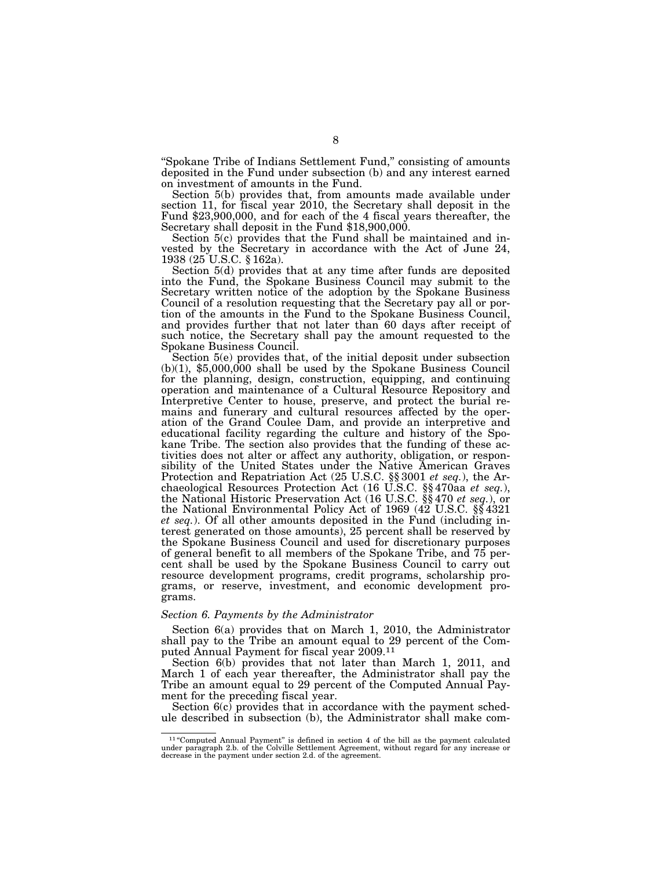''Spokane Tribe of Indians Settlement Fund,'' consisting of amounts deposited in the Fund under subsection (b) and any interest earned on investment of amounts in the Fund.

Section 5(b) provides that, from amounts made available under section 11, for fiscal year 2010, the Secretary shall deposit in the Fund \$23,900,000, and for each of the 4 fiscal years thereafter, the Secretary shall deposit in the Fund \$18,900,000.

Section 5(c) provides that the Fund shall be maintained and invested by the Secretary in accordance with the Act of June 24, 1938 (25 U.S.C. § 162a).

Section 5(d) provides that at any time after funds are deposited into the Fund, the Spokane Business Council may submit to the Secretary written notice of the adoption by the Spokane Business Council of a resolution requesting that the Secretary pay all or portion of the amounts in the Fund to the Spokane Business Council, and provides further that not later than 60 days after receipt of such notice, the Secretary shall pay the amount requested to the

Spokane Business Council.<br>Section 5(e) provides that, of the initial deposit under subsection  $(b)(1)$ , \$5,000,000 shall be used by the Spokane Business Council for the planning, design, construction, equipping, and continuing operation and maintenance of a Cultural Resource Repository and Interpretive Center to house, preserve, and protect the burial remains and funerary and cultural resources affected by the operation of the Grand Coulee Dam, and provide an interpretive and educational facility regarding the culture and history of the Spokane Tribe. The section also provides that the funding of these activities does not alter or affect any authority, obligation, or responsibility of the United States under the Native American Graves Protection and Repatriation Act (25 U.S.C. §§ 3001 *et seq.*), the Archaeological Resources Protection Act (16 U.S.C. §§ 470aa *et seq.*), the National Historic Preservation Act (16 U.S.C. §§ 470 *et seq.*), or the National Environmental Policy Act of 1969 (42 U.S.C. §§ 4321 *et seq.*). Of all other amounts deposited in the Fund (including interest generated on those amounts), 25 percent shall be reserved by the Spokane Business Council and used for discretionary purposes of general benefit to all members of the Spokane Tribe, and 75 percent shall be used by the Spokane Business Council to carry out resource development programs, credit programs, scholarship programs, or reserve, investment, and economic development programs.

### *Section 6. Payments by the Administrator*

Section 6(a) provides that on March 1, 2010, the Administrator shall pay to the Tribe an amount equal to 29 percent of the Computed Annual Payment for fiscal year 2009.11

Section 6(b) provides that not later than March 1, 2011, and March 1 of each year thereafter, the Administrator shall pay the Tribe an amount equal to 29 percent of the Computed Annual Payment for the preceding fiscal year.

Section  $6(c)$  provides that in accordance with the payment schedule described in subsection (b), the Administrator shall make com-

 $11$  "Computed Annual Payment" is defined in section 4 of the bill as the payment calculated under paragraph 2.b. of the Colville Settlement Agreement, without regard for any increase or decrease in the payment under sect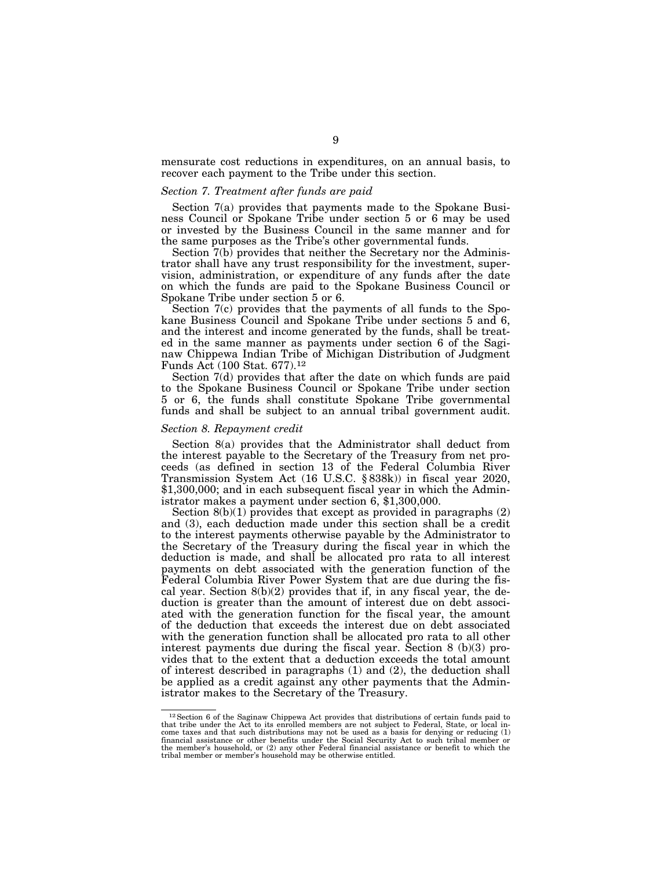mensurate cost reductions in expenditures, on an annual basis, to recover each payment to the Tribe under this section.

## *Section 7. Treatment after funds are paid*

Section 7(a) provides that payments made to the Spokane Business Council or Spokane Tribe under section 5 or 6 may be used or invested by the Business Council in the same manner and for the same purposes as the Tribe's other governmental funds.

Section  $7(b)$  provides that neither the Secretary nor the Administrator shall have any trust responsibility for the investment, supervision, administration, or expenditure of any funds after the date on which the funds are paid to the Spokane Business Council or Spokane Tribe under section 5 or 6.

Section 7(c) provides that the payments of all funds to the Spokane Business Council and Spokane Tribe under sections 5 and 6, and the interest and income generated by the funds, shall be treated in the same manner as payments under section 6 of the Saginaw Chippewa Indian Tribe of Michigan Distribution of Judgment Funds Act (100 Stat. 677).12

Section 7(d) provides that after the date on which funds are paid to the Spokane Business Council or Spokane Tribe under section 5 or 6, the funds shall constitute Spokane Tribe governmental funds and shall be subject to an annual tribal government audit.

# *Section 8. Repayment credit*

Section 8(a) provides that the Administrator shall deduct from the interest payable to the Secretary of the Treasury from net proceeds (as defined in section 13 of the Federal Columbia River Transmission System Act (16 U.S.C. § 838k)) in fiscal year 2020, \$1,300,000; and in each subsequent fiscal year in which the Administrator makes a payment under section 6, \$1,300,000.

Section  $8(b)(1)$  provides that except as provided in paragraphs  $(2)$ and (3), each deduction made under this section shall be a credit to the interest payments otherwise payable by the Administrator to the Secretary of the Treasury during the fiscal year in which the deduction is made, and shall be allocated pro rata to all interest payments on debt associated with the generation function of the Federal Columbia River Power System that are due during the fiscal year. Section 8(b)(2) provides that if, in any fiscal year, the deduction is greater than the amount of interest due on debt associated with the generation function for the fiscal year, the amount of the deduction that exceeds the interest due on debt associated with the generation function shall be allocated pro rata to all other interest payments due during the fiscal year. Section 8 (b)(3) provides that to the extent that a deduction exceeds the total amount of interest described in paragraphs (1) and (2), the deduction shall be applied as a credit against any other payments that the Administrator makes to the Secretary of the Treasury.

 $12$  Section 6 of the Saginaw Chippewa Act provides that distributions of certain funds paid to that tribe under the Act to its enrolled members are not subject to Federal, State, or local income taxes and that such distr financial assistance or other benefits under the Social Security Act to such tribal member or<br>the member's household, or (2) any other Federal financial assistance or benefit to which the<br>tribal member or member's househol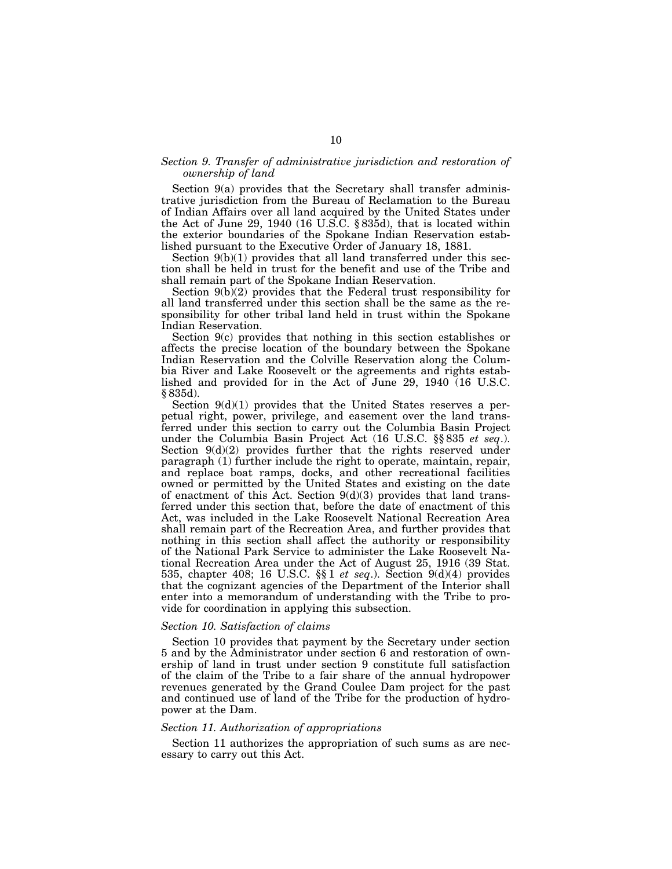# *Section 9. Transfer of administrative jurisdiction and restoration of ownership of land*

Section 9(a) provides that the Secretary shall transfer administrative jurisdiction from the Bureau of Reclamation to the Bureau of Indian Affairs over all land acquired by the United States under the Act of June 29, 1940 (16 U.S.C. § 835d), that is located within the exterior boundaries of the Spokane Indian Reservation established pursuant to the Executive Order of January 18, 1881.

Section 9(b)(1) provides that all land transferred under this section shall be held in trust for the benefit and use of the Tribe and shall remain part of the Spokane Indian Reservation.

Section 9(b)(2) provides that the Federal trust responsibility for all land transferred under this section shall be the same as the responsibility for other tribal land held in trust within the Spokane Indian Reservation.

Section 9(c) provides that nothing in this section establishes or affects the precise location of the boundary between the Spokane Indian Reservation and the Colville Reservation along the Columbia River and Lake Roosevelt or the agreements and rights established and provided for in the Act of June 29, 1940 (16 U.S.C. § 835d).

Section  $9(d)(1)$  provides that the United States reserves a perpetual right, power, privilege, and easement over the land transferred under this section to carry out the Columbia Basin Project under the Columbia Basin Project Act (16 U.S.C. §§ 835 *et seq*.). Section  $9(d)(2)$  provides further that the rights reserved under paragraph (1) further include the right to operate, maintain, repair, and replace boat ramps, docks, and other recreational facilities owned or permitted by the United States and existing on the date of enactment of this Act. Section  $9(d)(3)$  provides that land transferred under this section that, before the date of enactment of this Act, was included in the Lake Roosevelt National Recreation Area shall remain part of the Recreation Area, and further provides that nothing in this section shall affect the authority or responsibility of the National Park Service to administer the Lake Roosevelt National Recreation Area under the Act of August 25, 1916 (39 Stat. 535, chapter 408; 16 U.S.C. §§ 1 *et seq*.). Section 9(d)(4) provides that the cognizant agencies of the Department of the Interior shall enter into a memorandum of understanding with the Tribe to provide for coordination in applying this subsection.

## *Section 10. Satisfaction of claims*

Section 10 provides that payment by the Secretary under section 5 and by the Administrator under section 6 and restoration of ownership of land in trust under section 9 constitute full satisfaction of the claim of the Tribe to a fair share of the annual hydropower revenues generated by the Grand Coulee Dam project for the past and continued use of land of the Tribe for the production of hydropower at the Dam.

### *Section 11. Authorization of appropriations*

Section 11 authorizes the appropriation of such sums as are necessary to carry out this Act.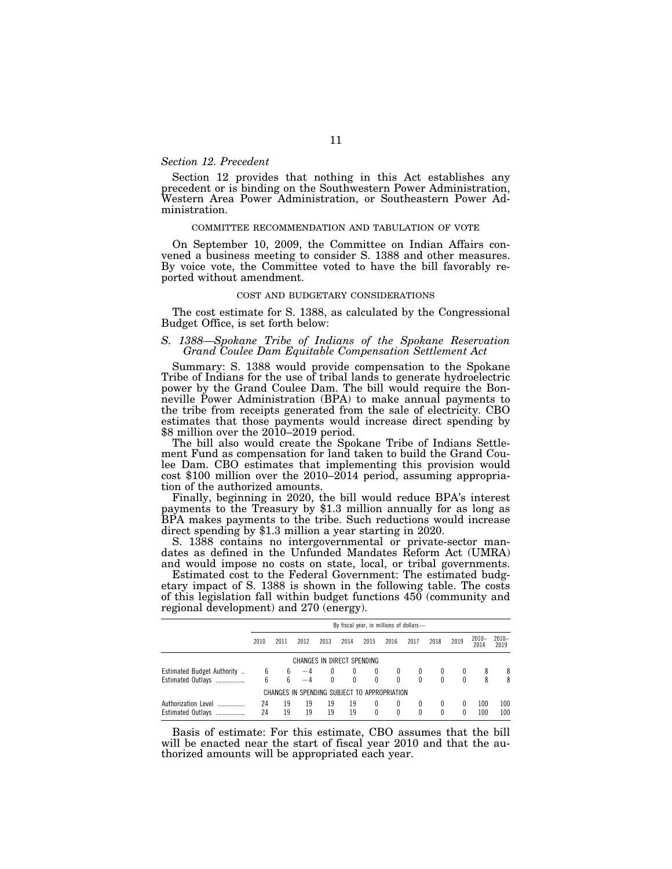# *Section 12. Precedent*

Section 12 provides that nothing in this Act establishes any precedent or is binding on the Southwestern Power Administration, Western Area Power Administration, or Southeastern Power Administration.

### COMMITTEE RECOMMENDATION AND TABULATION OF VOTE

On September 10, 2009, the Committee on Indian Affairs convened a business meeting to consider S. 1388 and other measures. By voice vote, the Committee voted to have the bill favorably reported without amendment.

### COST AND BUDGETARY CONSIDERATIONS

The cost estimate for S. 1388, as calculated by the Congressional Budget Office, is set forth below:

### *S. 1388—Spokane Tribe of Indians of the Spokane Reservation Grand Coulee Dam Equitable Compensation Settlement Act*

Summary: S. 1388 would provide compensation to the Spokane Tribe of Indians for the use of tribal lands to generate hydroelectric power by the Grand Coulee Dam. The bill would require the Bonneville Power Administration (BPA) to make annual payments to the tribe from receipts generated from the sale of electricity. CBO estimates that those payments would increase direct spending by \$8 million over the 2010–2019 period.

The bill also would create the Spokane Tribe of Indians Settlement Fund as compensation for land taken to build the Grand Coulee Dam. CBO estimates that implementing this provision would cost \$100 million over the 2010–2014 period, assuming appropriation of the authorized amounts.

Finally, beginning in 2020, the bill would reduce BPA's interest payments to the Treasury by \$1.3 million annually for as long as BPA makes payments to the tribe. Such reductions would increase direct spending by \$1.3 million a year starting in 2020.

S. 1388 contains no intergovernmental or private-sector mandates as defined in the Unfunded Mandates Reform Act (UMRA) and would impose no costs on state, local, or tribal governments.

Estimated cost to the Federal Government: The estimated budgetary impact of S. 1388 is shown in the following table. The costs of this legislation fall within budget functions 450 (community and regional development) and 270 (energy).

|                              | By fiscal year, in millions of dollars- |      |                                              |          |      |              |          |          |      |      |                  |                 |
|------------------------------|-----------------------------------------|------|----------------------------------------------|----------|------|--------------|----------|----------|------|------|------------------|-----------------|
|                              | 2010                                    | 2011 | 2012                                         | 2013     | 2014 | 2015         | 2016     | 2017     | 2018 | 2019 | $2010 -$<br>2014 | $2010-$<br>2019 |
| CHANGES IN DIRECT SPENDING   |                                         |      |                                              |          |      |              |          |          |      |      |                  |                 |
| Estimated Budget Authority   | 6                                       | 6    | $-4$                                         | $\bf{0}$ | 0    | $\mathbf{0}$ |          | $\bf{0}$ | 0    |      | 8                | 8               |
| Estimated Outlays            | 6                                       | ĥ    |                                              |          | 0    | $\Omega$     | $\Omega$ | $\theta$ | 0    | 0    | 8                | 8               |
|                              |                                         |      | CHANGES IN SPENDING SUBJECT TO APPROPRIATION |          |      |              |          |          |      |      |                  |                 |
| Authorization Level          | 24                                      | 19   | 19                                           | 19       | 19   | 0            | 0        | $\bf{0}$ | 0    | 0    | 100              | 100             |
| <b>Estimated Outlays</b><br> | 24                                      | 19   | 19                                           | 19       | 19   | 0            |          |          | 0    | 0    | 100              | 100             |

Basis of estimate: For this estimate, CBO assumes that the bill will be enacted near the start of fiscal year 2010 and that the authorized amounts will be appropriated each year.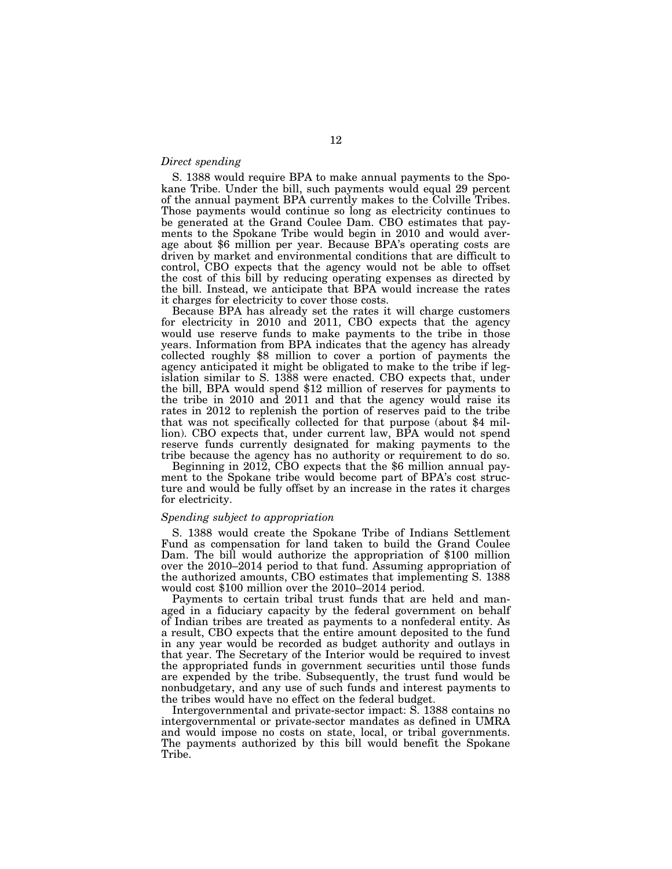# *Direct spending*

S. 1388 would require BPA to make annual payments to the Spokane Tribe. Under the bill, such payments would equal 29 percent of the annual payment BPA currently makes to the Colville Tribes. Those payments would continue so long as electricity continues to be generated at the Grand Coulee Dam. CBO estimates that payments to the Spokane Tribe would begin in 2010 and would average about \$6 million per year. Because BPA's operating costs are driven by market and environmental conditions that are difficult to control, CBO expects that the agency would not be able to offset the cost of this bill by reducing operating expenses as directed by the bill. Instead, we anticipate that BPA would increase the rates it charges for electricity to cover those costs.

Because BPA has already set the rates it will charge customers for electricity in 2010 and 2011, CBO expects that the agency would use reserve funds to make payments to the tribe in those years. Information from BPA indicates that the agency has already collected roughly \$8 million to cover a portion of payments the agency anticipated it might be obligated to make to the tribe if legislation similar to S. 1388 were enacted. CBO expects that, under the bill, BPA would spend \$12 million of reserves for payments to the tribe in 2010 and 2011 and that the agency would raise its rates in 2012 to replenish the portion of reserves paid to the tribe that was not specifically collected for that purpose (about \$4 million). CBO expects that, under current law, BPA would not spend reserve funds currently designated for making payments to the tribe because the agency has no authority or requirement to do so.

Beginning in 2012, CBO expects that the \$6 million annual payment to the Spokane tribe would become part of BPA's cost structure and would be fully offset by an increase in the rates it charges for electricity.

## *Spending subject to appropriation*

S. 1388 would create the Spokane Tribe of Indians Settlement Fund as compensation for land taken to build the Grand Coulee Dam. The bill would authorize the appropriation of \$100 million over the 2010–2014 period to that fund. Assuming appropriation of the authorized amounts, CBO estimates that implementing S. 1388 would cost \$100 million over the 2010–2014 period.

Payments to certain tribal trust funds that are held and managed in a fiduciary capacity by the federal government on behalf of Indian tribes are treated as payments to a nonfederal entity. As a result, CBO expects that the entire amount deposited to the fund in any year would be recorded as budget authority and outlays in that year. The Secretary of the Interior would be required to invest the appropriated funds in government securities until those funds are expended by the tribe. Subsequently, the trust fund would be nonbudgetary, and any use of such funds and interest payments to the tribes would have no effect on the federal budget.

Intergovernmental and private-sector impact: S. 1388 contains no intergovernmental or private-sector mandates as defined in UMRA and would impose no costs on state, local, or tribal governments. The payments authorized by this bill would benefit the Spokane Tribe.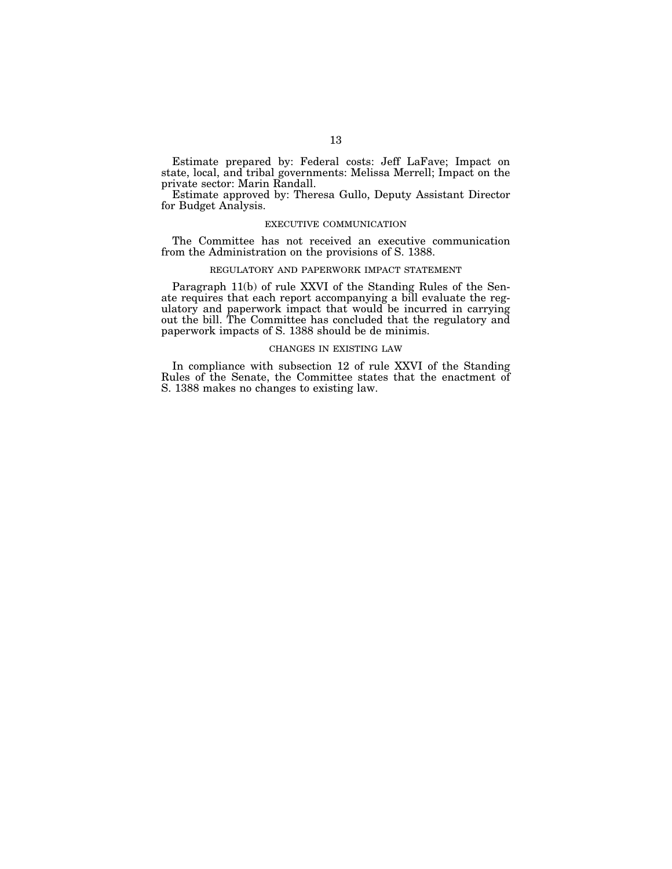Estimate prepared by: Federal costs: Jeff LaFave; Impact on state, local, and tribal governments: Melissa Merrell; Impact on the private sector: Marin Randall.

Estimate approved by: Theresa Gullo, Deputy Assistant Director for Budget Analysis.

# EXECUTIVE COMMUNICATION

The Committee has not received an executive communication from the Administration on the provisions of S. 1388.

### REGULATORY AND PAPERWORK IMPACT STATEMENT

Paragraph 11(b) of rule XXVI of the Standing Rules of the Senate requires that each report accompanying a bill evaluate the regulatory and paperwork impact that would be incurred in carrying out the bill. The Committee has concluded that the regulatory and paperwork impacts of S. 1388 should be de minimis.

### CHANGES IN EXISTING LAW

In compliance with subsection 12 of rule XXVI of the Standing Rules of the Senate, the Committee states that the enactment of S. 1388 makes no changes to existing law.